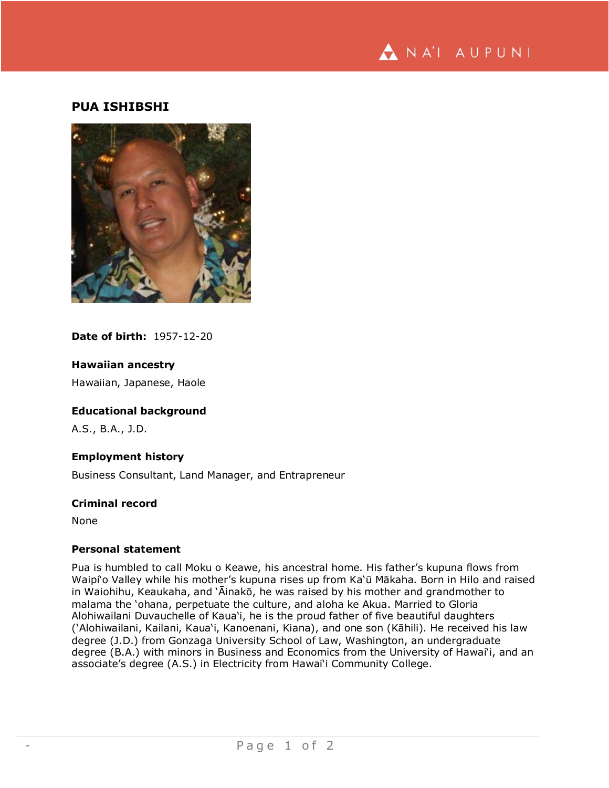

# **PUA ISHIBSHI**



## **Date of birth:** 1957-12-20

### **Hawaiian ancestry**

Hawaiian, Japanese, Haole

# **Educational background**

A.S., B.A., J.D.

### **Employment history**

Business Consultant, Land Manager, and Entrapreneur

#### **Criminal record**

None

#### **Personal statement**

Pua is humbled to call Moku o Keawe, his ancestral home. His father's kupuna flows from Waipi'o Valley while his mother's kupuna rises up from Ka'ū Mākaha. Born in Hilo and raised in Waiohihu, Keaukaha, and 'Āinakō, he was raised by his mother and grandmother to malama the 'ohana, perpetuate the culture, and aloha ke Akua. Married to Gloria Alohiwailani Duvauchelle of Kaua'i, he is the proud father of five beautiful daughters ('Alohiwailani, Kailani, Kaua'i, Kanoenani, Kiana), and one son (Kāhili). He received his law degree (J.D.) from Gonzaga University School of Law, Washington, an undergraduate degree (B.A.) with minors in Business and Economics from the University of Hawai'i, and an associate's degree (A.S.) in Electricity from Hawai'i Community College.